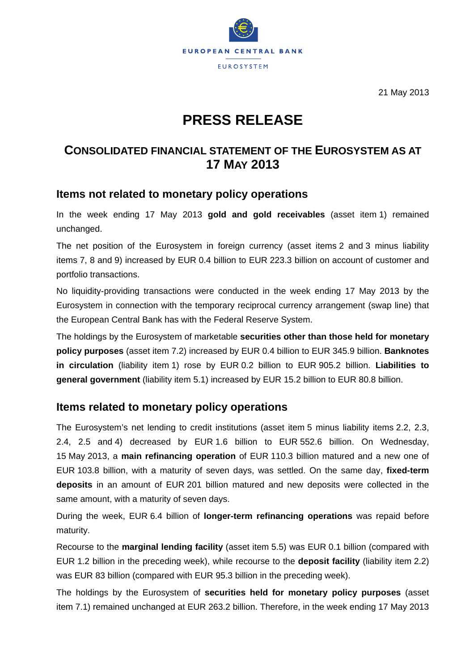

21 May 2013

# **PRESS RELEASE**

## **CONSOLIDATED FINANCIAL STATEMENT OF THE EUROSYSTEM AS AT 17 MAY 2013**

### **Items not related to monetary policy operations**

In the week ending 17 May 2013 **gold and gold receivables** (asset item 1) remained unchanged.

The net position of the Eurosystem in foreign currency (asset items 2 and 3 minus liability items 7, 8 and 9) increased by EUR 0.4 billion to EUR 223.3 billion on account of customer and portfolio transactions.

No liquidity-providing transactions were conducted in the week ending 17 May 2013 by the Eurosystem in connection with the temporary reciprocal currency arrangement (swap line) that the European Central Bank has with the Federal Reserve System.

The holdings by the Eurosystem of marketable **securities other than those held for monetary policy purposes** (asset item 7.2) increased by EUR 0.4 billion to EUR 345.9 billion. **Banknotes in circulation** (liability item 1) rose by EUR 0.2 billion to EUR 905.2 billion. **Liabilities to general government** (liability item 5.1) increased by EUR 15.2 billion to EUR 80.8 billion.

### **Items related to monetary policy operations**

The Eurosystem's net lending to credit institutions (asset item 5 minus liability items 2.2, 2.3, 2.4, 2.5 and 4) decreased by EUR 1.6 billion to EUR 552.6 billion. On Wednesday, 15 May 2013, a **main refinancing operation** of EUR 110.3 billion matured and a new one of EUR 103.8 billion, with a maturity of seven days, was settled. On the same day, **fixed-term deposits** in an amount of EUR 201 billion matured and new deposits were collected in the same amount, with a maturity of seven days.

During the week, EUR 6.4 billion of **longer-term refinancing operations** was repaid before maturity.

Recourse to the **marginal lending facility** (asset item 5.5) was EUR 0.1 billion (compared with EUR 1.2 billion in the preceding week), while recourse to the **deposit facility** (liability item 2.2) was EUR 83 billion (compared with EUR 95.3 billion in the preceding week).

The holdings by the Eurosystem of **securities held for monetary policy purposes** (asset item 7.1) remained unchanged at EUR 263.2 billion. Therefore, in the week ending 17 May 2013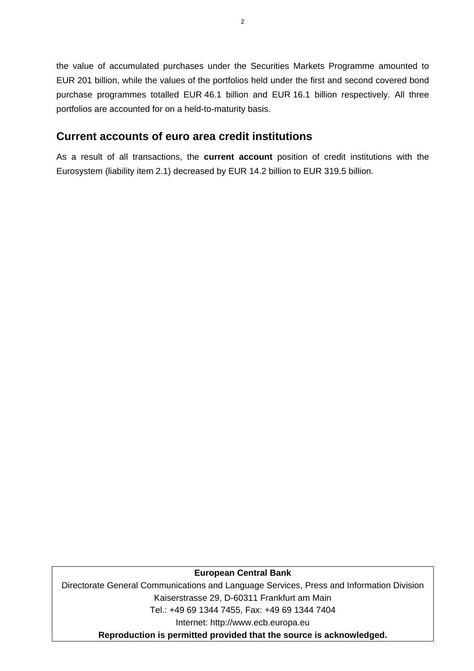the value of accumulated purchases under the Securities Markets Programme amounted to EUR 201 billion, while the values of the portfolios held under the first and second covered bond purchase programmes totalled EUR 46.1 billion and EUR 16.1 billion respectively. All three portfolios are accounted for on a held-to-maturity basis.

## **Current accounts of euro area credit institutions**

As a result of all transactions, the **current account** position of credit institutions with the Eurosystem (liability item 2.1) decreased by EUR 14.2 billion to EUR 319.5 billion.

#### **European Central Bank**

Directorate General Communications and Language Services, Press and Information Division Kaiserstrasse 29, D-60311 Frankfurt am Main Tel.: +49 69 1344 7455, Fax: +49 69 1344 7404 Internet: http://www.ecb.europa.eu

**Reproduction is permitted provided that the source is acknowledged.**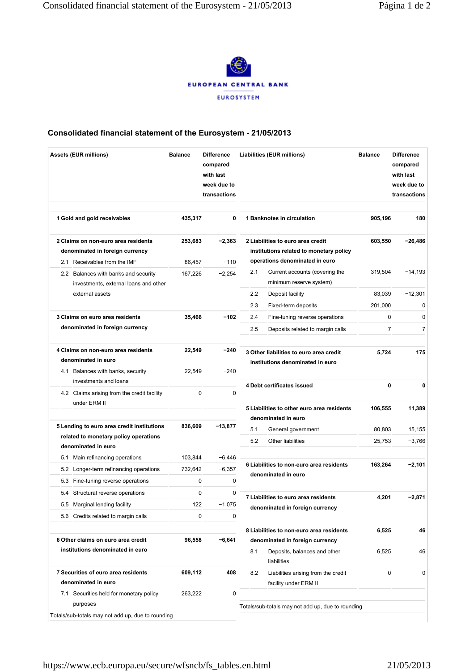

#### **Consolidated financial statement of the Eurosystem - 21/05/2013**

| <b>Assets (EUR millions)</b>                                                                                             | <b>Balance</b>   | <b>Difference</b><br>compared<br>with last<br>week due to<br>transactions | Liabilities (EUR millions)                                                                                |                                                                         | <b>Balance</b> | <b>Difference</b><br>compared<br>with last<br>week due to<br>transactions |  |
|--------------------------------------------------------------------------------------------------------------------------|------------------|---------------------------------------------------------------------------|-----------------------------------------------------------------------------------------------------------|-------------------------------------------------------------------------|----------------|---------------------------------------------------------------------------|--|
| 1 Gold and gold receivables                                                                                              | 435,317          | 0                                                                         |                                                                                                           | 1 Banknotes in circulation                                              | 905,196        | 180                                                                       |  |
| 2 Claims on non-euro area residents<br>denominated in foreign currency                                                   | 253,683          | $-2,363$                                                                  | 2 Liabilities to euro area credit<br>institutions related to monetary policy                              |                                                                         | 603,550        | -26,486                                                                   |  |
| 2.1 Receivables from the IMF                                                                                             | 86.457           | $-110$                                                                    | operations denominated in euro                                                                            |                                                                         |                |                                                                           |  |
| 2.2 Balances with banks and security<br>investments, external loans and other                                            | 167,226          | $-2,254$                                                                  | 2.1                                                                                                       | Current accounts (covering the<br>minimum reserve system)               | 319,504        | $-14,193$                                                                 |  |
| external assets                                                                                                          |                  |                                                                           | 2.2                                                                                                       | Deposit facility                                                        | 83,039         | $-12,301$                                                                 |  |
|                                                                                                                          |                  |                                                                           | 2.3                                                                                                       | Fixed-term deposits                                                     | 201,000        | 0                                                                         |  |
| 3 Claims on euro area residents                                                                                          | 35,466           | -102                                                                      | 2.4                                                                                                       | Fine-tuning reverse operations                                          | 0              | 0                                                                         |  |
| denominated in foreign currency                                                                                          |                  |                                                                           | 2.5                                                                                                       | Deposits related to margin calls                                        | $\overline{7}$ | 7                                                                         |  |
| 4 Claims on non-euro area residents<br>denominated in euro<br>4.1 Balances with banks, security<br>investments and loans | 22,549<br>22,549 | -240<br>$-240$                                                            | 3 Other liabilities to euro area credit<br>institutions denominated in euro<br>4 Debt certificates issued |                                                                         | 5,724<br>0     | 175<br>$\mathbf 0$                                                        |  |
| 4.2 Claims arising from the credit facility<br>under ERM II                                                              | 0                | 0                                                                         |                                                                                                           | 5 Liabilities to other euro area residents                              | 106,555        | 11,389                                                                    |  |
|                                                                                                                          |                  |                                                                           | denominated in euro                                                                                       |                                                                         |                |                                                                           |  |
| 5 Lending to euro area credit institutions<br>related to monetary policy operations                                      | 836,609          | -13,877                                                                   | 5.1                                                                                                       | General government                                                      | 80,803         | 15,155                                                                    |  |
| denominated in euro                                                                                                      |                  |                                                                           | 5.2                                                                                                       | Other liabilities                                                       | 25,753         | $-3,766$                                                                  |  |
| Main refinancing operations<br>5.1                                                                                       | 103,844          | -6,446                                                                    |                                                                                                           |                                                                         |                |                                                                           |  |
| 5.2 Longer-term refinancing operations                                                                                   | 732.642          | $-6,357$                                                                  |                                                                                                           | 6 Liabilities to non-euro area residents                                | 163,264        | $-2,101$                                                                  |  |
| Fine-tuning reverse operations<br>5.3                                                                                    | 0                | 0                                                                         |                                                                                                           | denominated in euro                                                     |                |                                                                           |  |
| 5.4 Structural reverse operations                                                                                        | 0                | 0                                                                         |                                                                                                           |                                                                         |                |                                                                           |  |
| 5.5 Marginal lending facility                                                                                            | 122              | $-1,075$                                                                  |                                                                                                           | 7 Liabilities to euro area residents<br>denominated in foreign currency | 4,201          | $-2,871$                                                                  |  |
| 5.6 Credits related to margin calls                                                                                      | 0                | 0                                                                         |                                                                                                           |                                                                         |                |                                                                           |  |
| 6 Other claims on euro area credit                                                                                       | 96,558           | -6,641                                                                    | 8 Liabilities to non-euro area residents<br>denominated in foreign currency                               |                                                                         | 6,525          | 46                                                                        |  |
| institutions denominated in euro                                                                                         |                  |                                                                           | 8.1                                                                                                       | Deposits, balances and other<br>liabilities                             | 6,525          | 46                                                                        |  |
| 7 Securities of euro area residents                                                                                      | 609,112          | 408                                                                       | 8.2                                                                                                       | Liabilities arising from the credit                                     | 0              | 0                                                                         |  |
| denominated in euro                                                                                                      |                  |                                                                           |                                                                                                           | facility under ERM II                                                   |                |                                                                           |  |
| 7.1 Securities held for monetary policy<br>purposes                                                                      | 263,222          | 0                                                                         |                                                                                                           | Totals/sub-totals may not add up, due to rounding                       |                |                                                                           |  |